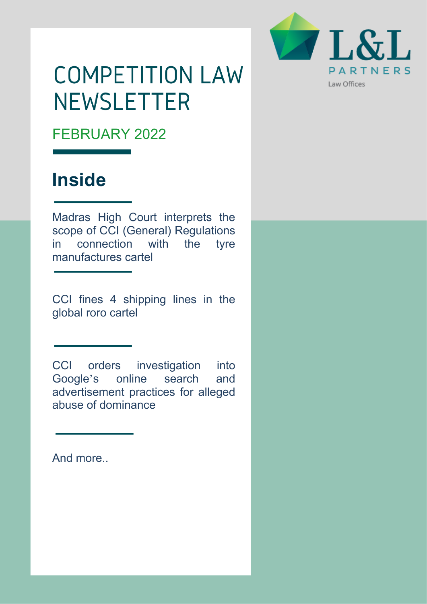

# **COMPETITION LAW NEWSLETTER**

FEBRUARY 2022

## **Inside**

Madras High Court interprets the scope of CCI (General) Regulations in connection with the tyre manufactures cartel

CCI fines 4 shipping lines in the global roro cartel

CCI orders investigation into Google's online search and advertisement practices for alleged abuse of dominance

And more..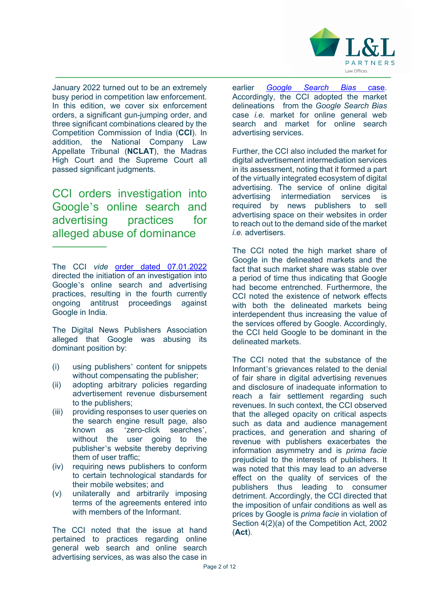

January 2022 turned out to be an extremely busy period in competition law enforcement. In this edition, we cover six enforcement orders, a significant gun-jumping order, and three significant combinations cleared by the Competition Commission of India (**CCI**). In addition, the National Company Law Appellate Tribunal (**NCLAT**), the Madras High Court and the Supreme Court all passed significant judgments.

CCI orders investigation into Google's online search and advertising practices for alleged abuse of dominance

The CCI *vide* order dated 07.01.2022 directed the initiation of an investigation into Google's online search and advertising practices, resulting in the fourth currently ongoing antitrust proceedings against Google in India.

The Digital News Publishers Association alleged that Google was abusing its dominant position by:

- (i) using publishers' content for snippets without compensating the publisher;
- (ii) adopting arbitrary policies regarding advertisement revenue disbursement to the publishers;
- (iii) providing responses to user queries on the search engine result page, also known as 'zero-click searches', without the user going to the publisher's website thereby depriving them of user traffic;
- (iv) requiring news publishers to conform to certain technological standards for their mobile websites; and
- (v) unilaterally and arbitrarily imposing terms of the agreements entered into with members of the Informant.

The CCI noted that the issue at hand pertained to practices regarding online general web search and online search advertising services, as was also the case in

earlier *Google Search Bias* case. Accordingly, the CCI adopted the market delineations from the *Google Search Bias*  case *i.e.* market for online general web search and market for online search advertising services.

Further, the CCI also included the market for digital advertisement intermediation services in its assessment, noting that it formed a part of the virtually integrated ecosystem of digital advertising. The service of online digital advertising intermediation services is required by news publishers to sell advertising space on their websites in order to reach out to the demand side of the market *i.e.* advertisers

The CCI noted the high market share of Google in the delineated markets and the fact that such market share was stable over a period of time thus indicating that Google had become entrenched. Furthermore, the CCI noted the existence of network effects with both the delineated markets being interdependent thus increasing the value of the services offered by Google. Accordingly, the CCI held Google to be dominant in the delineated markets.

The CCI noted that the substance of the Informant's grievances related to the denial of fair share in digital advertising revenues and disclosure of inadequate information to reach a fair settlement regarding such revenues. In such context, the CCI observed that the alleged opacity on critical aspects such as data and audience management practices, and generation and sharing of revenue with publishers exacerbates the information asymmetry and is *prima facie*  prejudicial to the interests of publishers. It was noted that this may lead to an adverse effect on the quality of services of the publishers thus leading to consumer detriment. Accordingly, the CCI directed that the imposition of unfair conditions as well as prices by Google is *prima facie* in violation of Section 4(2)(a) of the Competition Act, 2002 (**Act**).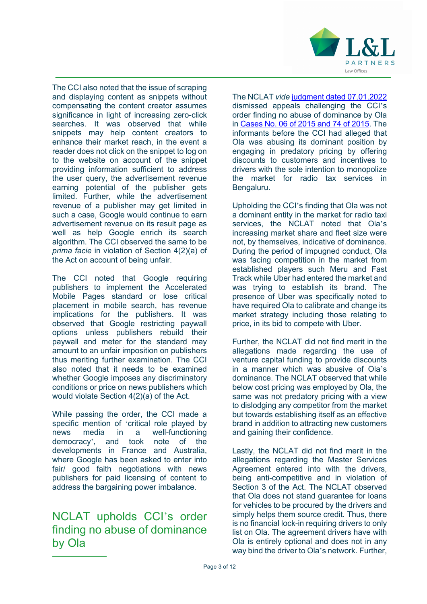

The CCI also noted that the issue of scraping and displaying content as snippets without compensating the content creator assumes significance in light of increasing zero-click searches. It was observed that while snippets may help content creators to enhance their market reach, in the event a reader does not click on the snippet to log on to the website on account of the snippet providing information sufficient to address the user query, the advertisement revenue earning potential of the publisher gets limited. Further, while the advertisement revenue of a publisher may get limited in such a case, Google would continue to earn advertisement revenue on its result page as well as help Google enrich its search algorithm. The CCI observed the same to be *prima facie* in violation of Section 4(2)(a) of the Act on account of being unfair.

The CCI noted that Google requiring publishers to implement the Accelerated Mobile Pages standard or lose critical placement in mobile search, has revenue implications for the publishers. It was observed that Google restricting paywall options unless publishers rebuild their paywall and meter for the standard may amount to an unfair imposition on publishers thus meriting further examination. The CCI also noted that it needs to be examined whether Google imposes any discriminatory conditions or price on news publishers which would violate Section 4(2)(a) of the Act.

While passing the order, the CCI made a specific mention of 'critical role played by news media in a well-functioning democracy', and took note of the developments in France and Australia, where Google has been asked to enter into fair/ good faith negotiations with news publishers for paid licensing of content to address the bargaining power imbalance.

#### NCLAT upholds CCI's order finding no abuse of dominance by Ola

The NCLAT *vide* judgment dated 07.01.2022 dismissed appeals challenging the CCI's order finding no abuse of dominance by Ola in Cases No. 06 of 2015 and 74 of 2015. The informants before the CCI had alleged that Ola was abusing its dominant position by engaging in predatory pricing by offering discounts to customers and incentives to drivers with the sole intention to monopolize the market for radio tax services in Bengaluru.

Upholding the CCI's finding that Ola was not a dominant entity in the market for radio taxi services, the NCLAT noted that Ola's increasing market share and fleet size were not, by themselves, indicative of dominance. During the period of impugned conduct, Ola was facing competition in the market from established players such Meru and Fast Track while Uber had entered the market and was trying to establish its brand. The presence of Uber was specifically noted to have required Ola to calibrate and change its market strategy including those relating to price, in its bid to compete with Uber.

Further, the NCLAT did not find merit in the allegations made regarding the use of venture capital funding to provide discounts in a manner which was abusive of Ola's dominance. The NCLAT observed that while below cost pricing was employed by Ola, the same was not predatory pricing with a view to dislodging any competitor from the market but towards establishing itself as an effective brand in addition to attracting new customers and gaining their confidence.

Lastly, the NCLAT did not find merit in the allegations regarding the Master Services Agreement entered into with the drivers, being anti-competitive and in violation of Section 3 of the Act. The NCLAT observed that Ola does not stand guarantee for loans for vehicles to be procured by the drivers and simply helps them source credit. Thus, there is no financial lock-in requiring drivers to only list on Ola. The agreement drivers have with Ola is entirely optional and does not in any way bind the driver to Ola's network. Further,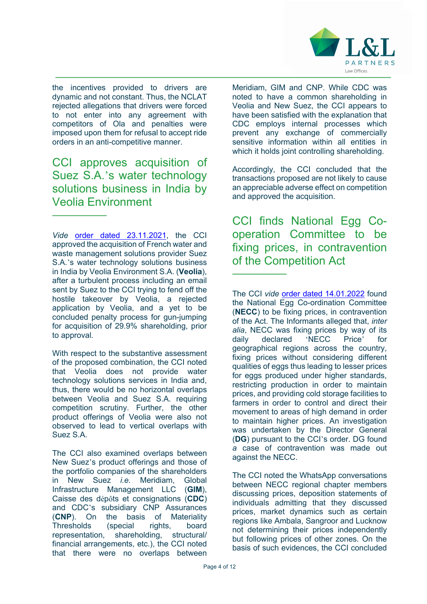

the incentives provided to drivers are dynamic and not constant. Thus, the NCLAT rejected allegations that drivers were forced to not enter into any agreement with competitors of Ola and penalties were imposed upon them for refusal to accept ride orders in an anti-competitive manner.

CCI approves acquisition of Suez S.A.'s water technology solutions business in India by Veolia Environment

*Vide* order dated 23.11.2021, the CCI approved the acquisition of French water and waste management solutions provider Suez S.A.'s water technology solutions business in India by Veolia Environment S.A. (**Veolia**), after a turbulent process including an email sent by Suez to the CCI trying to fend off the hostile takeover by Veolia, a rejected application by Veolia, and a yet to be concluded penalty process for gun-jumping for acquisition of 29.9% shareholding, prior to approval.

With respect to the substantive assessment of the proposed combination, the CCI noted that Veolia does not provide water technology solutions services in India and, thus, there would be no horizontal overlaps between Veolia and Suez S.A. requiring competition scrutiny. Further, the other product offerings of Veolia were also not observed to lead to vertical overlaps with Suez S.A.

The CCI also examined overlaps between New Suez's product offerings and those of the portfolio companies of the shareholders in New Suez *i.e.* Meridiam, Global Infrastructure Management LLC (**GIM**), Caisse des dépôts et consignations (**CDC**) and CDC's subsidiary CNP Assurances (**CNP**). On the basis of Materiality Thresholds (special rights, board representation, shareholding, structural/ financial arrangements, etc.), the CCI noted that there were no overlaps between

Meridiam, GIM and CNP. While CDC was noted to have a common shareholding in Veolia and New Suez, the CCI appears to have been satisfied with the explanation that CDC employs internal processes which prevent any exchange of commercially sensitive information within all entities in which it holds joint controlling shareholding.

Accordingly, the CCI concluded that the transactions proposed are not likely to cause an appreciable adverse effect on competition and approved the acquisition.

CCI finds National Egg Cooperation Committee to be fixing prices, in contravention of the Competition Act

The CCI *vide* order dated 14.01.2022 found the National Egg Co-ordination Committee (**NECC**) to be fixing prices, in contravention of the Act. The Informants alleged that, *inter alia*, NECC was fixing prices by way of its daily declared 'NECC Price' for geographical regions across the country, fixing prices without considering different qualities of eggs thus leading to lesser prices for eggs produced under higher standards, restricting production in order to maintain prices, and providing cold storage facilities to farmers in order to control and direct their movement to areas of high demand in order to maintain higher prices. An investigation was undertaken by the Director General (**DG**) pursuant to the CCI's order. DG found *a* case of contravention was made out against the NECC.

The CCI noted the WhatsApp conversations between NECC regional chapter members discussing prices, deposition statements of individuals admitting that they discussed prices, market dynamics such as certain regions like Ambala, Sangroor and Lucknow not determining their prices independently but following prices of other zones. On the basis of such evidences, the CCI concluded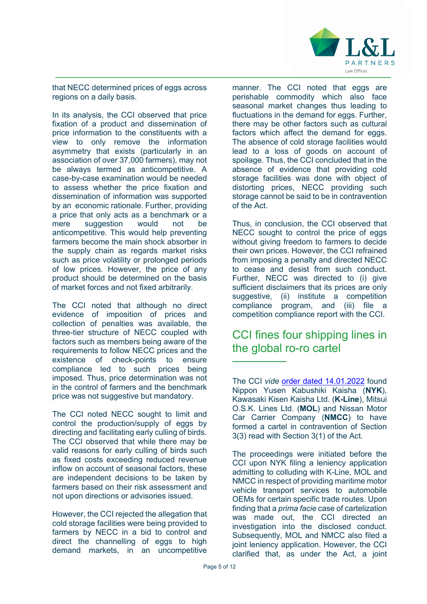

that NECC determined prices of eggs across regions on a daily basis.

In its analysis, the CCI observed that price fixation of a product and dissemination of price information to the constituents with a view to only remove the information asymmetry that exists (particularly in an association of over 37,000 farmers), may not be always termed as anticompetitive. A case-by-case examination would be needed to assess whether the price fixation and dissemination of information was supported by an economic rationale. Further, providing a price that only acts as a benchmark or a mere suggestion would not be anticompetitive. This would help preventing farmers become the main shock absorber in the supply chain as regards market risks such as price volatility or prolonged periods of low prices. However, the price of any product should be determined on the basis of market forces and not fixed arbitrarily.

The CCI noted that although no direct evidence of imposition of prices and collection of penalties was available, the three-tier structure of NECC coupled with factors such as members being aware of the requirements to follow NECC prices and the existence of check-points to ensure compliance led to such prices being imposed. Thus, price determination was not in the control of farmers and the benchmark price was not suggestive but mandatory.

The CCI noted NECC sought to limit and control the production/supply of eggs by directing and facilitating early culling of birds. The CCI observed that while there may be valid reasons for early culling of birds such as fixed costs exceeding reduced revenue inflow on account of seasonal factors, these are independent decisions to be taken by farmers based on their risk assessment and not upon directions or advisories issued.

However, the CCI rejected the allegation that cold storage facilities were being provided to farmers by NECC in a bid to control and direct the channelling of eggs to high demand markets, in an uncompetitive

manner. The CCI noted that eggs are perishable commodity which also face seasonal market changes thus leading to fluctuations in the demand for eggs. Further, there may be other factors such as cultural factors which affect the demand for eggs. The absence of cold storage facilities would lead to a loss of goods on account of spoilage. Thus, the CCI concluded that in the absence of evidence that providing cold storage facilities was done with object of distorting prices, NECC providing such storage cannot be said to be in contravention of the Act.

Thus, in conclusion, the CCI observed that NECC sought to control the price of eggs without giving freedom to farmers to decide their own prices. However, the CCI refrained from imposing a penalty and directed NECC to cease and desist from such conduct. Further, NECC was directed to (i) give sufficient disclaimers that its prices are only suggestive, (ii) institute a competition compliance program, and (iii) file a competition compliance report with the CCI.

#### CCI fines four shipping lines in the global ro-ro cartel

The CCI *vide* order dated 14.01.2022 found Nippon Yusen Kabushiki Kaisha (**NYK**), Kawasaki Kisen Kaisha Ltd. (**K-Line**), Mitsui O.S.K. Lines Ltd. (**MOL**) and Nissan Motor Car Carrier Company (**NMCC**) to have formed a cartel in contravention of Section 3(3) read with Section 3(1) of the Act.

The proceedings were initiated before the CCI upon NYK filing a leniency application admitting to colluding with K-Line, MOL and NMCC in respect of providing maritime motor vehicle transport services to automobile OEMs for certain specific trade routes. Upon finding that a *prima facie* case of cartelization was made out, the CCI directed an investigation into the disclosed conduct. Subsequently, MOL and NMCC also filed a joint leniency application. However, the CCI clarified that, as under the Act, a joint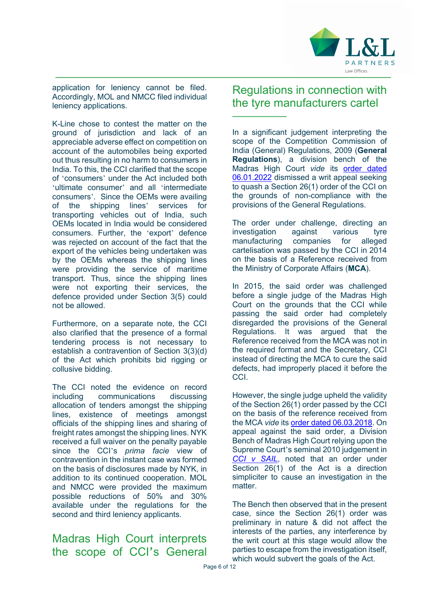

application for leniency cannot be filed. Accordingly, MOL and NMCC filed individual leniency applications.

K-Line chose to contest the matter on the ground of jurisdiction and lack of an appreciable adverse effect on competition on account of the automobiles being exported out thus resulting in no harm to consumers in India. To this, the CCI clarified that the scope of 'consumers' under the Act included both 'ultimate consumer' and all 'intermediate consumers'. Since the OEMs were availing of the shipping lines' services for transporting vehicles out of India, such OEMs located in India would be considered consumers. Further, the 'export' defence was rejected on account of the fact that the export of the vehicles being undertaken was by the OEMs whereas the shipping lines were providing the service of maritime transport. Thus, since the shipping lines were not exporting their services, the defence provided under Section 3(5) could not be allowed.

Furthermore, on a separate note, the CCI also clarified that the presence of a formal tendering process is not necessary to establish a contravention of Section 3(3)(d) of the Act which prohibits bid rigging or collusive bidding.

The CCI noted the evidence on record including communications discussing allocation of tenders amongst the shipping lines, existence of meetings amongst officials of the shipping lines and sharing of freight rates amongst the shipping lines. NYK received a full waiver on the penalty payable since the CCI's *prima facie* view of contravention in the instant case was formed on the basis of disclosures made by NYK, in addition to its continued cooperation. MOL and NMCC were provided the maximum possible reductions of 50% and 30% available under the regulations for the second and third leniency applicants.

Madras High Court interprets the scope of CCI's General

#### Regulations in connection with the tyre manufacturers cartel

In a significant judgement interpreting the scope of the Competition Commission of India (General) Regulations, 2009 (**General Regulations**), a division bench of the Madras High Court *vide* its order dated 06.01.2022 dismissed a writ appeal seeking to quash a Section 26(1) order of the CCI on the grounds of non-compliance with the provisions of the General Regulations.

The order under challenge, directing an investigation against various tyre manufacturing companies for alleged cartelisation was passed by the CCI in 2014 on the basis of a Reference received from the Ministry of Corporate Affairs (**MCA**).

In 2015, the said order was challenged before a single judge of the Madras High Court on the grounds that the CCI while passing the said order had completely disregarded the provisions of the General Regulations. It was argued that the Reference received from the MCA was not in the required format and the Secretary, CCI instead of directing the MCA to cure the said defects, had improperly placed it before the CCI.

However, the single judge upheld the validity of the Section 26(1) order passed by the CCI on the basis of the reference received from the MCA *vide* its order dated 06.03.2018. On appeal against the said order, a Division Bench of Madras High Court relying upon the Supreme Court's seminal 2010 judgement in *CCI v SAIL*, noted that an order under Section 26(1) of the Act is a direction simpliciter to cause an investigation in the matter

The Bench then observed that in the present case, since the Section 26(1) order was preliminary in nature & did not affect the interests of the parties, any interference by the writ court at this stage would allow the parties to escape from the investigation itself, which would subvert the goals of the Act.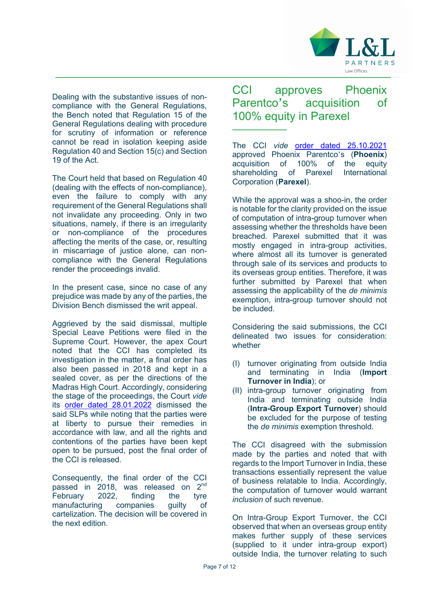

Dealing with the substantive issues of noncompliance with the General Regulations, the Bench noted that Regulation 15 of the General Regulations dealing with procedure for scrutiny of information or reference cannot be read in isolation keeping aside Regulation 40 and Section 15(c) and Section 19 of the Act.

The Court held that based on Regulation 40 (dealing with the effects of non-compliance), even the failure to comply with any requirement of the General Regulations shall not invalidate any proceeding. Only in two situations, namely, if there is an irregularity or non-compliance of the procedures affecting the merits of the case, or, resulting in miscarriage of justice alone, can noncompliance with the General Regulations render the proceedings invalid.

In the present case, since no case of any prejudice was made by any of the parties, the Division Bench dismissed the writ appeal.

Aggrieved by the said dismissal, multiple Special Leave Petitions were filed in the Supreme Court. However, the apex Court noted that the CCI has completed its investigation in the matter, a final order has also been passed in 2018 and kept in a sealed cover, as per the directions of the Madras High Court. Accordingly, considering the stage of the proceedings, the Court *vide* its order dated 28.01.2022 dismissed the said SLPs while noting that the parties were at liberty to pursue their remedies in accordance with law, and all the rights and contentions of the parties have been kept open to be pursued, post the final order of the CCI is released.

Consequently, the final order of the CCI passed in 2018, was released on 2<sup>nd</sup><br>February 2022, finding the tyre February 2022, finding the tyre manufacturing companies guilty of cartelization. The decision will be covered in the next edition.

CCI approves Phoenix Parentco's acquisition of 100% equity in Parexel

The CCI *vide* order dated 25.10.2021 approved Phoenix Parentco's (**Phoenix**) acquisition of 100% of the equity shareholding of Parexel International Corporation (**Parexel**).

While the approval was a shoo-in, the order is notable for the clarity provided on the issue of computation of intra-group turnover when assessing whether the thresholds have been breached. Parexel submitted that it was mostly engaged in intra-group activities, where almost all its turnover is generated through sale of its services and products to its overseas group entities. Therefore, it was further submitted by Parexel that when assessing the applicability of the *de minimis* exemption, intra-group turnover should not be included.

Considering the said submissions, the CCI delineated two issues for consideration: whether

- (I) turnover originating from outside India and terminating in India (**Import Turnover in India**); or
- (II) intra-group turnover originating from India and terminating outside India (**Intra-Group Export Turnover**) should be excluded for the purpose of testing the *de minimis* exemption threshold.

The CCI disagreed with the submission made by the parties and noted that with regards to the Import Turnover in India, these transactions essentially represent the value of business relatable to India. Accordingly, the computation of turnover would warrant *inclusion* of such revenue.

On Intra-Group Export Turnover, the CCI observed that when an overseas group entity makes further supply of these services (supplied to it under intra-group export) outside India, the turnover relating to such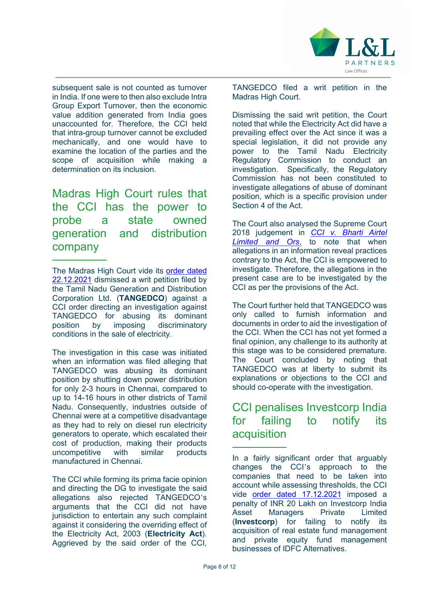

subsequent sale is not counted as turnover in India. If one were to then also exclude Intra Group Export Turnover, then the economic value addition generated from India goes unaccounted for. Therefore, the CCI held that intra-group turnover cannot be excluded mechanically, and one would have to examine the location of the parties and the scope of acquisition while making a determination on its inclusion.

Madras High Court rules that the CCI has the power to probe a state owned generation and distribution company

The investigation in this case was initiated when an information was filed alleging that TANGEDCO was abusing its dominant position by shutting down power distribution for only 2-3 hours in Chennai, compared to up to 14-16 hours in other districts of Tamil Nadu. Consequently, industries outside of Chennai were at a competitive disadvantage as they had to rely on diesel run electricity generators to operate, which escalated their cost of production, making their products<br>uncompetitive with similar products uncompetitive with similar products manufactured in Chennai.

The CCI while forming its prima facie opinion and directing the DG to investigate the said allegations also rejected TANGEDCO's arguments that the CCI did not have jurisdiction to entertain any such complaint against it considering the overriding effect of the Electricity Act, 2003 (**Electricity Act**). Aggrieved by the said order of the CCI, TANGEDCO filed a writ petition in the Madras High Court.

Dismissing the said writ petition, the Court noted that while the Electricity Act did have a prevailing effect over the Act since it was a special legislation, it did not provide any power to the Tamil Nadu Electricity Regulatory Commission to conduct an investigation. Specifically, the Regulatory Commission has not been constituted to investigate allegations of abuse of dominant position, which is a specific provision under Section 4 of the Act.

The Court also analysed the Supreme Court 2018 judgement in *CCI v. Bharti Airtel Limited and Ors*. to note that when allegations in an information reveal practices contrary to the Act, the CCI is empowered to investigate. Therefore, the allegations in the present case are to be investigated by the CCI as per the provisions of the Act.

The Court further held that TANGEDCO was only called to furnish information and documents in order to aid the investigation of the CCI. When the CCI has not yet formed a final opinion, any challenge to its authority at this stage was to be considered premature. The Court concluded by noting that TANGEDCO was at liberty to submit its explanations or objections to the CCI and should co-operate with the investigation.

#### CCI penalises Investcorp India for failing to notify its acquisition

The Madras High Court vide its order dated 22.12.2021 dismissed a writ petition filed by the Tamil Nadu Generation and Distribution Corporation Ltd. (**TANGEDCO**) against a CCI order directing an investigation against TANGEDCO for abusing its dominant position by imposing discriminatory conditions in the sale of electricity.

In a fairly significant order that arguably changes the CCI's approach to the companies that need to be taken into account while assessing thresholds, the CCI vide order dated 17.12.2021 imposed a penalty of INR 20 Lakh on Investcorp India Asset Managers Private Limited (**Investcorp**) for failing to notify its acquisition of real estate fund management and private equity fund management businesses of IDFC Alternatives.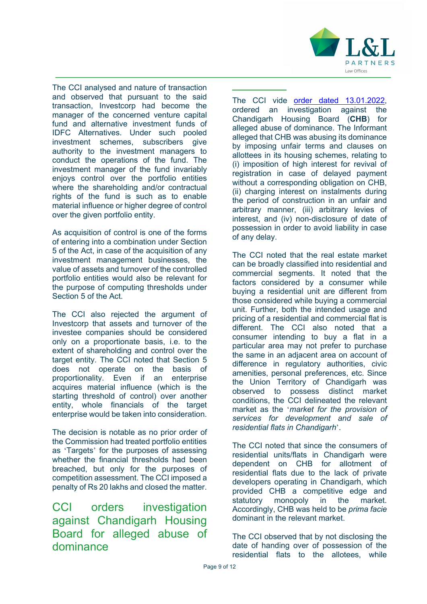

The CCI analysed and nature of transaction and observed that pursuant to the said transaction, Investcorp had become the manager of the concerned venture capital fund and alternative investment funds of IDFC Alternatives. Under such pooled investment schemes, subscribers give authority to the investment managers to conduct the operations of the fund. The investment manager of the fund invariably enjoys control over the portfolio entities where the shareholding and/or contractual rights of the fund is such as to enable material influence or higher degree of control over the given portfolio entity.

As acquisition of control is one of the forms of entering into a combination under Section 5 of the Act, in case of the acquisition of any investment management businesses, the value of assets and turnover of the controlled portfolio entities would also be relevant for the purpose of computing thresholds under Section 5 of the Act.

The CCI also rejected the argument of Investcorp that assets and turnover of the investee companies should be considered only on a proportionate basis, i.e. to the extent of shareholding and control over the target entity. The CCI noted that Section 5 does not operate on the basis of proportionality. Even if an enterprise acquires material influence (which is the starting threshold of control) over another entity, whole financials of the target enterprise would be taken into consideration.

The decision is notable as no prior order of the Commission had treated portfolio entities as 'Targets' for the purposes of assessing whether the financial thresholds had been breached, but only for the purposes of competition assessment. The CCI imposed a penalty of Rs 20 lakhs and closed the matter.

CCI orders investigation against Chandigarh Housing Board for alleged abuse of dominance

The CCI vide order dated 13.01.2022, ordered an investigation against the Chandigarh Housing Board (**CHB**) for alleged abuse of dominance. The Informant alleged that CHB was abusing its dominance by imposing unfair terms and clauses on allottees in its housing schemes, relating to (i) imposition of high interest for revival of registration in case of delayed payment without a corresponding obligation on CHB, (ii) charging interest on instalments during the period of construction in an unfair and arbitrary manner, (iii) arbitrary levies of interest, and (iv) non-disclosure of date of possession in order to avoid liability in case of any delay.

The CCI noted that the real estate market can be broadly classified into residential and commercial segments. It noted that the factors considered by a consumer while buying a residential unit are different from those considered while buying a commercial unit. Further, both the intended usage and pricing of a residential and commercial flat is different. The CCI also noted that a consumer intending to buy a flat in a particular area may not prefer to purchase the same in an adjacent area on account of difference in regulatory authorities, civic amenities, personal preferences, etc. Since the Union Territory of Chandigarh was observed to possess distinct market conditions, the CCI delineated the relevant market as the '*market for the provision of services for development and sale of residential flats in Chandigarh*'.

The CCI noted that since the consumers of residential units/flats in Chandigarh were dependent on CHB for allotment of residential flats due to the lack of private developers operating in Chandigarh, which provided CHB a competitive edge and statutory monopoly in the market. Accordingly, CHB was held to be *prima facie*  dominant in the relevant market.

The CCI observed that by not disclosing the date of handing over of possession of the residential flats to the allotees, while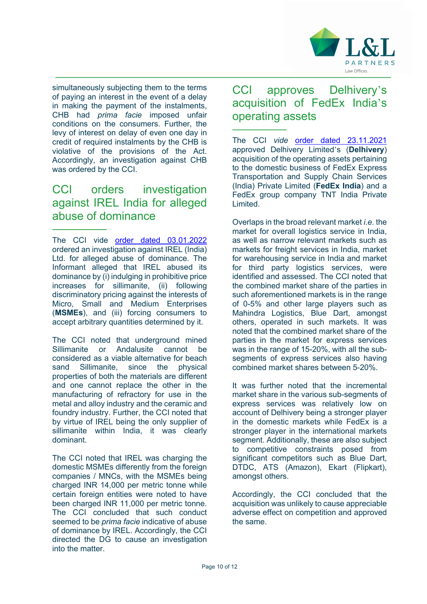

simultaneously subjecting them to the terms of paying an interest in the event of a delay in making the payment of the instalments, CHB had *prima facie* imposed unfair conditions on the consumers. Further, the levy of interest on delay of even one day in credit of required instalments by the CHB is violative of the provisions of the Act. Accordingly, an investigation against CHB was ordered by the CCI.

#### CCI orders investigation against IREL India for alleged abuse of dominance

The CCI vide order dated 03.01.2022 ordered an investigation against IREL (India) Ltd. for alleged abuse of dominance. The Informant alleged that IREL abused its dominance by (i) indulging in prohibitive price increases for sillimanite, (ii) following discriminatory pricing against the interests of Micro, Small and Medium Enterprises (**MSMEs**), and (iii) forcing consumers to accept arbitrary quantities determined by it.

The CCI noted that underground mined Sillimanite or Andalusite cannot be considered as a viable alternative for beach sand Sillimanite, since the physical properties of both the materials are different and one cannot replace the other in the manufacturing of refractory for use in the metal and alloy industry and the ceramic and foundry industry. Further, the CCI noted that by virtue of IREL being the only supplier of sillimanite within India, it was clearly dominant.

The CCI noted that IREL was charging the domestic MSMEs differently from the foreign companies / MNCs, with the MSMEs being charged INR 14,000 per metric tonne while certain foreign entities were noted to have been charged INR 11,000 per metric tonne. The CCI concluded that such conduct seemed to be *prima facie* indicative of abuse of dominance by IREL. Accordingly, the CCI directed the DG to cause an investigation into the matter.

#### CCI approves Delhivery's acquisition of FedEx India's operating assets

The CCI *vide* order dated 23.11.2021 approved Delhivery Limited's (**Delhivery**) acquisition of the operating assets pertaining to the domestic business of FedEx Express Transportation and Supply Chain Services (India) Private Limited (**FedEx India**) and a FedEx group company TNT India Private Limited.

Overlaps in the broad relevant market *i.e.* the market for overall logistics service in India, as well as narrow relevant markets such as markets for freight services in India, market for warehousing service in India and market for third party logistics services, were identified and assessed. The CCI noted that the combined market share of the parties in such aforementioned markets is in the range of 0-5% and other large players such as Mahindra Logistics, Blue Dart, amongst others, operated in such markets. It was noted that the combined market share of the parties in the market for express services was in the range of 15-20%, with all the subsegments of express services also having combined market shares between 5-20%.

It was further noted that the incremental market share in the various sub-segments of express services was relatively low on account of Delhivery being a stronger player in the domestic markets while FedEx is a stronger player in the international markets segment. Additionally, these are also subject to competitive constraints posed from significant competitors such as Blue Dart, DTDC, ATS (Amazon), Ekart (Flipkart), amongst others.

Accordingly, the CCI concluded that the acquisition was unlikely to cause appreciable adverse effect on competition and approved the same.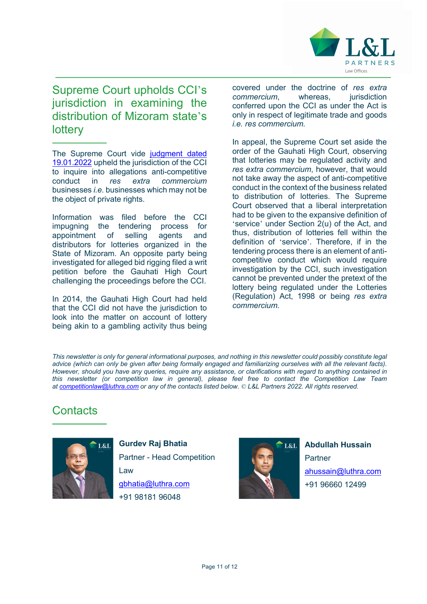

#### Supreme Court upholds CCI's jurisdiction in examining the distribution of Mizoram state's **lottery**

The Supreme Court vide judgment dated 19.01.2022 upheld the jurisdiction of the CCI to inquire into allegations anti-competitive conduct in *res extra commercium*  businesses *i.e.* businesses which may not be the object of private rights.

Information was filed before the CCI impugning the tendering process for appointment of selling agents and distributors for lotteries organized in the State of Mizoram. An opposite party being investigated for alleged bid rigging filed a writ petition before the Gauhati High Court challenging the proceedings before the CCI.

In 2014, the Gauhati High Court had held that the CCI did not have the jurisdiction to look into the matter on account of lottery being akin to a gambling activity thus being covered under the doctrine of *res extra commercium*, whereas, iurisdiction conferred upon the CCI as under the Act is only in respect of legitimate trade and goods *i.e. res commercium.*

In appeal, the Supreme Court set aside the order of the Gauhati High Court, observing that lotteries may be regulated activity and *res extra commercium*, however, that would not take away the aspect of anti-competitive conduct in the context of the business related to distribution of lotteries. The Supreme Court observed that a liberal interpretation had to be given to the expansive definition of 'service' under Section 2(u) of the Act, and thus, distribution of lotteries fell within the definition of 'service'. Therefore, if in the tendering process there is an element of anticompetitive conduct which would require investigation by the CCI, such investigation cannot be prevented under the pretext of the lottery being regulated under the Lotteries (Regulation) Act, 1998 or being *res extra commercium.*

This newsletter is only for general informational purposes, and nothing in this newsletter could possibly constitute legal *advice (which can only be given after being formally engaged and familiarizing ourselves with all the relevant facts). However, should you have any queries, require any assistance, or clarifications with regard to anything contained in this newsletter (or competition law in general), please feel free to contact the Competition Law Team at competitionlaw@luthra.com or any of the contacts listed below. © L&L Partners 2022. All rights reserved.*

### **Contacts**



**Gurdev Raj Bhatia**  Partner - Head Competition Law gbhatia@luthra.com +91 98181 96048



**Abdullah Hussain Partner** ahussain@luthra.com +91 96660 12499